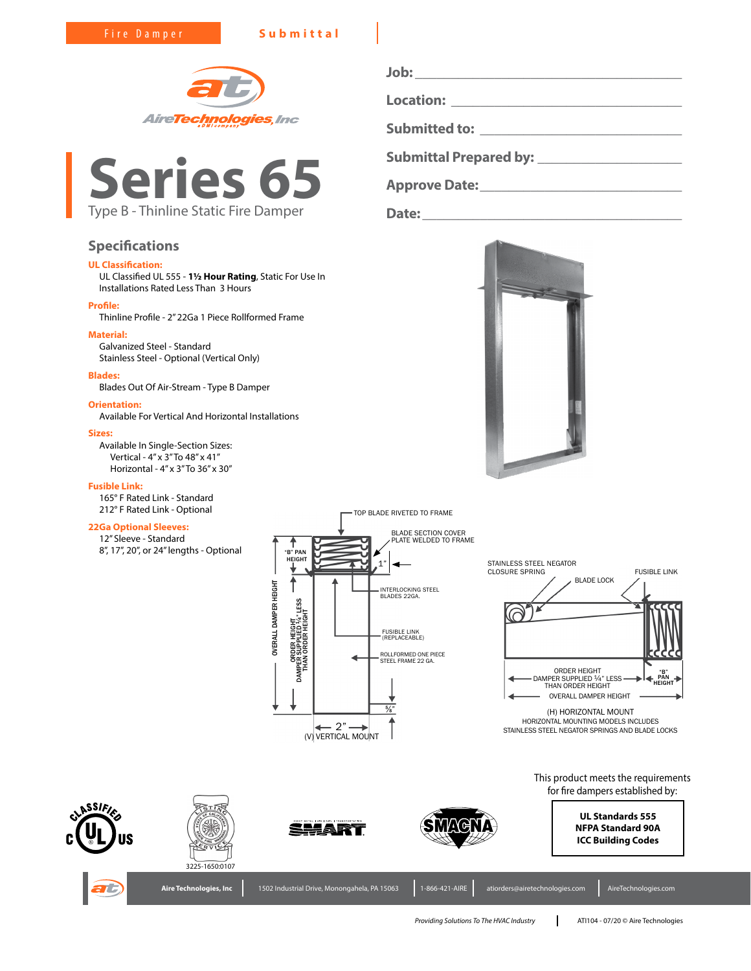Fire Damper **Submittal**





# **Specifications**

# **UL Classification:**

UL Classified UL 555 - **1½ Hour Rating**, Static For Use In Installations Rated Less Than 3 Hours

### **Profile:**

Thinline Profile - 2" 22Ga 1 Piece Rollformed Frame

# **Material:**

Galvanized Steel - Standard Stainless Steel - Optional (Vertical Only)

#### **Blades:**

Blades Out Of Air-Stream - Type B Damper

# **Orientation:**

Available For Vertical And Horizontal Installations

#### **Sizes:**

Available In Single-Section Sizes: Vertical - 4" x 3" To 48" x 41" Horizontal - 4" x 3" To 36" x 30"

## **Fusible Link:**

165° F Rated Link - Standard 212° F Rated Link - Optional

## **22Ga Optional Sleeves:**

12" Sleeve - Standard 8", 17", 20", or 24" lengths - Optional

**Job: \_\_\_\_\_\_\_\_\_\_\_\_\_\_\_\_\_\_\_\_\_\_\_\_\_\_\_\_\_\_\_\_\_\_\_\_\_ Location: \_\_\_\_\_\_\_\_\_\_\_\_\_\_\_\_\_\_\_\_\_\_\_\_\_\_\_\_\_\_\_\_ Submitted to: \_\_\_\_\_\_\_\_\_\_\_\_\_\_\_\_\_\_\_\_\_\_\_\_\_\_\_\_ Submittal Prepared by: \_\_\_\_\_\_\_\_\_\_\_\_\_\_\_\_\_\_\_\_**

**Approve Date:** <u>**Approve Date:**  $\blacksquare$ </u>

**Date:\_\_\_\_\_\_\_\_\_\_\_\_\_\_\_\_\_\_\_\_\_\_\_\_\_\_\_\_\_\_\_\_\_\_\_\_**



 BLADE LOCK FUSIBLE LINK ORDER HEIGHT<br>DAMPER SUPPLIED 1/4" LESS<br>THAN ORDER HEIGHT OVERALL DAMPER HEIGHT (H) HORIZONTAL MOUNT STAINLESS STEEL NEGATOR CLOSURE SPRING "B" PAN HEIGHT

HORIZONTAL MOUNTING MODELS INCLUDES STAINLESS STEEL NEGATOR SPRINGS AND BLADE LOCKS

> This product meets the requirements for fire dampers established by:















*Providing Solutions To The HVAC Industry* ATI104 - 07/20 © Aire Technologies